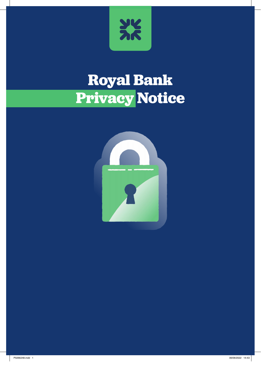

# **Royal Bank Privacy Notice**

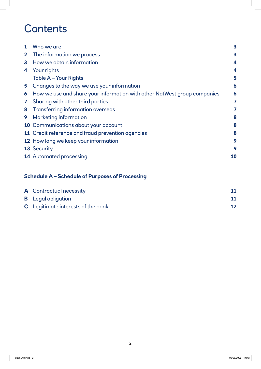# **Contents**

| 1              | Who we are                                                               | $\mathbf{3}$     |
|----------------|--------------------------------------------------------------------------|------------------|
| 2 <sup>1</sup> | The information we process                                               | $\mathbf{3}$     |
| 3              | How we obtain information                                                | $\boldsymbol{4}$ |
| 4              | Your rights                                                              | 4                |
|                | Table A - Your Rights                                                    | 5                |
| 5              | Changes to the way we use your information                               | $\boldsymbol{6}$ |
| 6              | How we use and share your information with other NatWest group companies | 6                |
| $\mathbf{7}$   | Sharing with other third parties                                         |                  |
| 8              | <b>Transferring information overseas</b>                                 | 7                |
| 9              | <b>Marketing information</b>                                             | 8                |
|                | 10 Communications about your account                                     | 8                |
|                | 11 Credit reference and fraud prevention agencies                        | 8                |
|                | 12 How long we keep your information                                     | 9                |
|                | 13 Security                                                              | 9                |
|                | <b>14 Automated processing</b>                                           | 10               |
|                |                                                                          |                  |

# **Schedule A – Schedule of Purposes of Processing**

| <b>A</b> Contractual necessity            |    |
|-------------------------------------------|----|
| <b>B</b> Legal obligation                 |    |
| <b>C</b> Legitimate interests of the bank | 12 |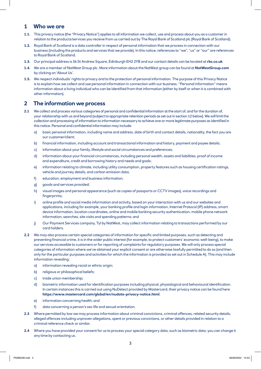#### **1 Who we are**

- **1.1.** This privacy notice (the "Privacy Notice") applies to all information we collect, use and process about you as a customer in relation to the products/services you receive from us carried out by The Royal Bank of Scotland plc (Royal Bank of Scotland).
- **1.2.** Royal Bank of Scotland is a data controller in respect of personal information that we process in connection with our business (including the products and services that we provide). In this notice, references to "we", "us" or "our" are references to Royal Bank of Scotland.
- **1.3.** Our principal address is 36 St Andrew Square, Edinburgh EH2 2YB and our contact details can be located at **rbs.co.uk**
- **1.4.** We are a member of NatWest Group plc. More information about the NatWest group can be found at **NatWestGroup.com** by clicking on 'About Us'.
- **1.5.** We respect individuals' rights to privacy and to the protection of personal information. The purpose of this Privacy Notice is to explain how we collect and use personal information in connection with our business. "Personal information" means information about a living individual who can be identified from that information (either by itself or when it is combined with other information).

#### **2 The information we process**

- **2.1** We collect and process various categories of personal and confidential information at the start of, and for the duration of, your relationship with us and beyond (subject to appropriate retention periods as set out in section 12 below). We will limit the collection and processing of information to information necessary to achieve one or more legitimate purposes as identified in this notice. Personal and confidential information may include:
	- a) basic personal information, including name and address, date of birth and contact details, nationality, the fact you are our customer/client;
	- b) financial information, including account and transactional information and history, payment and payee details;
	- c) information about your family, lifestyle and social circumstances and preferences;
	- d) information about your financial circumstances, including personal wealth, assets and liabilities, proof of income and expenditure, credit and borrowing history and needs and goals;
	- e) information relating to climate, including utility consumption, property features such as housing certification ratings, vehicle and journey details, and carbon emission data;
	- f) education, employment and business information;
	- g) goods and services provided;
	- h) visual images and personal appearance (such as copies of passports or CCTV images), voice recordings and fingerprints;
	- i) online profile and social media information and activity, based on your interaction with us and our websites and applications, including for example, your banking profile and login information, Internet Protocol (IP) address, smart device information, location coordinates, online and mobile banking security authentication, mobile phone network information, searches, site visits and spending patterns; and
	- j) Our Payment Services company, Tyl by NatWest, may collect information relating to transactions performed by our card holders.
- **2.2** We may also process certain special categories of information for specific and limited purposes, such as detecting and preventing financial crime, it is in the wider public interest (for example, to protect customers' economic well-being), to make our services accessible to customers or for reporting of complaints for regulatory purposes. We will only process special categories of information where we've obtained your explicit consent or are otherwise lawfully permitted to do so (and then only for the particular purposes and activities for which the information is provided as set out in Schedule A). This may include information revealing:
	- a) information revealing racial or ethnic origin;
	- b) religious or philosophical beliefs;
	- c) trade union membership;
	- d) biometric information used for identification purposes including physical, physiological and behavioural identification. In certain instances this is carried out using NuDetect provided by Mastercard, their privacy notice can be found here **https://www.mastercard.com/global/en/nudata-privacy-notice.html**;
	- e) information concerning health; and
	- f) data concerning a person's sex life and sexual orientation.
- **2.3** Where permitted by law we may process information about criminal convictions, criminal offences, related security details, alleged offences including unproven allegations, spent or previous convictions, or other details provided in relation to a criminal reference check or similar.
- **2.4** Where you have provided your consent for us to process your special category data, such as biometric data, you can change it any time by contacting us.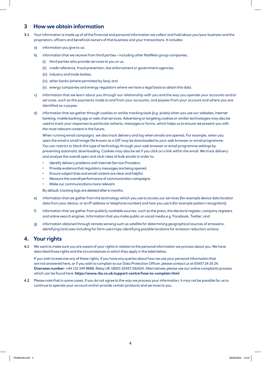#### **3 How we obtain information**

- **3.1** Your information is made up of all the financial and personal information we collect and hold about you/your business and the proprietors, officers and beneficial owners of that business and your transactions. It includes:
	- a) information you give to us;
	- b) information that we receive from third parties including other NatWest group companies,
		- (i) third parties who provide services to you or us,
		- (ii) credit reference, fraud prevention, law enforcement or government agencies,
		- (iii) industry and trade bodies,
		- (iv) other banks (where permitted by law); and
		- (v) energy companies and energy regulators where we have a legal basis to obtain this data.
	- c) information that we learn about you through our relationship with you and the way you operate your accounts and/or services, such as the payments made to and from your accounts, and payees from your account and where you are identified as a payee;
	- d) information that we gather through cookies or similar tracking tools (e.g. pixels) when you use our websites, internet banking, mobile banking app or web chat services. Advertising or targeting cookies or similar technologies may also be used to track your responses to particular adverts, messages or forms, which helps us to ensure we present you with the most relevant content in the future;

 When running email campaigns, we also track delivery and log when emails are opened. For example, when you open the email a small image file known as a GIF may be downloaded to your web browser or email programme. You can restrict or block this type of technology through your web browser or email programme settings by preventing automatic downloading. Cookies may also be set if you click on a link within the email. We track delivery and analyse the overall open and click rates of bulk emails in order to:

- Identify delivery problems with Internet Service Providers.
- Provide evidence that regulatory messages are being opened.
- Ensure subject lines and email content are clear and helpful.
- Measure the overall performance of communication campaigns.
- Make our communications more relevant.

By default, tracking logs are deleted after 6 months.

- e) information that we gather from the technology which you use to access our services (for example device data location data from your device, or an IP address or telephone number) and how you use it (for example pattern recognition);
- f) information that we gather from publicly available sources, such as the press, the electoral register, company registers and online search engines. Information that you make public on social media e.g. Facebook, Twitter; and
- g) information obtained through remote sensing such as satellite for determining geographical sources of emissions; identifying land uses including for farm use/crops; identifying possible locations for emission reduction actions.

#### **4. Your rights**

**4.1** We want to make sure you are aware of your rights in relation to the personal information we process about you. We have described those rights and the circumstances in which they apply in the table below.

 If you wish to exercise any of these rights, if you have any queries about how we use your personal information that are not answered here, or if you wish to complain to our Data Protection Officer, please contact us at 03457 24 24 24. **Overseas number**: +44 131 549 8888. Relay UK 18001 03457 242424. Alternatively please use our online complaints process which can be found here: **https://www.rbs.co.uk/support-centre/how-to-complain.html**

**4.2** Please note that in some cases, if you do not agree to the way we process your information, it may not be possible for us to continue to operate your account and/or provide certain products and services to you.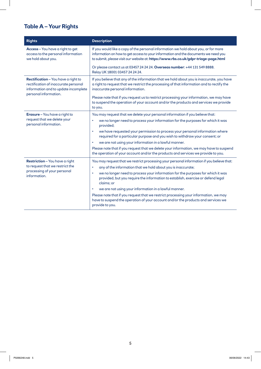# **Table A – Your Rights**

| <b>Rights</b>                                                                                                       | <b>Description</b>                                                                                                                                                                                                                                                                                                                                                                                                                      |  |  |
|---------------------------------------------------------------------------------------------------------------------|-----------------------------------------------------------------------------------------------------------------------------------------------------------------------------------------------------------------------------------------------------------------------------------------------------------------------------------------------------------------------------------------------------------------------------------------|--|--|
| Access - You have a right to get<br>access to the personal information<br>we hold about you.                        | If you would like a copy of the personal information we hold about you, or for more<br>information on how to get access to your information and the documents we need you<br>to submit, please visit our website at: https://www.rbs.co.uk/gdpr-triage-page.html                                                                                                                                                                        |  |  |
|                                                                                                                     | Or please contact us at 03457 24 24 24. Overseas number: +44 131 549 8888.<br>Relay UK 18001 03457 24 24 24.                                                                                                                                                                                                                                                                                                                            |  |  |
| Rectification - You have a right to<br>rectification of inaccurate personal<br>information and to update incomplete | If you believe that any of the information that we hold about you is inaccurate, you have<br>a right to request that we restrict the processing of that information and to rectify the<br>inaccurate personal information.                                                                                                                                                                                                              |  |  |
| personal information.                                                                                               | Please note that if you request us to restrict processing your information, we may have<br>to suspend the operation of your account and/or the products and services we provide<br>to you.                                                                                                                                                                                                                                              |  |  |
| <b>Erasure</b> - You have a right to<br>request that we delete your<br>personal information.                        | You may request that we delete your personal information if you believe that:<br>we no longer need to process your information for the purposes for which it was<br>$\bullet$<br>provided;                                                                                                                                                                                                                                              |  |  |
|                                                                                                                     | we have requested your permission to process your personal information where<br>$\bullet$<br>required for a particular purpose and you wish to withdraw your consent; or<br>we are not using your information in a lawful manner.<br>$\bullet$                                                                                                                                                                                          |  |  |
|                                                                                                                     | Please note that if you request that we delete your information, we may have to suspend<br>the operation of your account and/or the products and services we provide to you.                                                                                                                                                                                                                                                            |  |  |
| Restriction - You have a right<br>to request that we restrict the<br>processing of your personal<br>information.    | You may request that we restrict processing your personal information if you believe that:<br>any of the information that we hold about you is inaccurate;<br>$\bullet$<br>we no longer need to process your information for the purposes for which it was<br>۰<br>provided, but you require the information to establish, exercise or defend legal<br>claims; or<br>we are not using your information in a lawful manner.<br>$\bullet$ |  |  |
|                                                                                                                     | Please note that if you request that we restrict processing your information, we may<br>have to suspend the operation of your account and/or the products and services we<br>provide to you.                                                                                                                                                                                                                                            |  |  |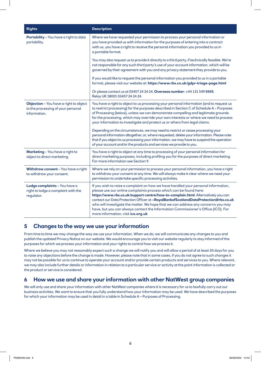| <b>Rights</b>                                                                                | <b>Description</b>                                                                                                                                                                                                                                                                                                                                                                                                                                                                                                                                 |  |  |
|----------------------------------------------------------------------------------------------|----------------------------------------------------------------------------------------------------------------------------------------------------------------------------------------------------------------------------------------------------------------------------------------------------------------------------------------------------------------------------------------------------------------------------------------------------------------------------------------------------------------------------------------------------|--|--|
| Portability - You have a right to data<br>portability.                                       | Where we have requested your permission to process your personal information or<br>you have provided us with information for the purposes of entering into a contract<br>with us, you have a right to receive the personal information you provided to us in<br>a portable format.                                                                                                                                                                                                                                                                 |  |  |
|                                                                                              | You may also request us to provide it directly to a third party, if technically feasible. We're<br>not responsible for any such third party's use of your account information, which will be<br>governed by their agreement with you and any privacy statement they provide to you.                                                                                                                                                                                                                                                                |  |  |
|                                                                                              | If you would like to request the personal information you provided to us in a portable<br>format, please visit our website at: https://www.rbs.co.uk/gdpr-triage-page.html                                                                                                                                                                                                                                                                                                                                                                         |  |  |
|                                                                                              | Or please contact us at 03457 24 24 24. Overseas number: +44 131 549 8888.<br>Relay UK 18001 03457 24 24 24.                                                                                                                                                                                                                                                                                                                                                                                                                                       |  |  |
| Objection - You have a right to object<br>to the processing of your personal<br>information. | You have a right to object to us processing your personal information (and to request us<br>to restrict processing) for the purposes described in Section C of Schedule A - Purposes<br>of Processing (below), unless we can demonstrate compelling and legitimate grounds<br>for the processing, which may override your own interests or where we need to process<br>your information to investigate and protect us or others from legal claims.<br>Depending on the circumstances, we may need to restrict or cease processing your             |  |  |
|                                                                                              | personal information altogether, or, where requested, delete your information. Please note<br>that if you object to us processing your information, we may have to suspend the operation<br>of your account and/or the products and services we provide to you.                                                                                                                                                                                                                                                                                    |  |  |
| Marketing - You have a right to<br>object to direct marketing.                               | You have a right to object at any time to processing of your personal information for<br>direct marketing purposes, including profiling you for the purposes of direct marketing.<br>For more information see Section 9.                                                                                                                                                                                                                                                                                                                           |  |  |
| Withdraw consent - You have a right<br>to withdraw your consent.                             | Where we rely on your permission to process your personal information, you have a right<br>to withdraw your consent at any time. We will always make it clear where we need your<br>permission to undertake specific processing activities.                                                                                                                                                                                                                                                                                                        |  |  |
| Lodge complaints - You have a<br>right to lodge a complaint with the<br>regulator.           | If you wish to raise a complaint on how we have handled your personal information,<br>please use our online complaints process which can be found here:<br>https://www.rbs.co.uk/support-centre/how-to-complain.html. Alternatively you can<br>contact our Data Protection Officer at ~RoyalBankofScotlandDataProtection@rbs.co.uk<br>who will investigate the matter. We hope that we can address any concerns you may<br>have, but you can always contact the Information Commissioner's Office (ICO). For<br>more information, visit ico.org.uk |  |  |

#### **5 Changes to the way we use your information**

From time to time we may change the way we use your information. When we do, we will communicate any changes to you and publish the updated Privacy Notice on our website. We would encourage you to visit our website regularly to stay informed of the purposes for which we process your information and your rights to control how we process it.

Where we believe you may not reasonably expect such a change we will notify you and will allow a period of at least 30 days for you to raise any objections before the change is made. However, please note that in some cases, if you do not agree to such changes it may not be possible for us to continue to operate your account and/or provide certain products and services to you. Where relevant, we may also include further details or information in relation to a particular service or activity at the point information is collected or the product or service is considered.

#### **6 How we use and share your information with other NatWest group companies**

We will only use and share your information with other NatWest companies where it is necessary for us to lawfully carry out our business activities. We want to ensure that you fully understand how your information may be used. We have described the purposes for which your information may be used in detail in a table in Schedule A – Purposes of Processing.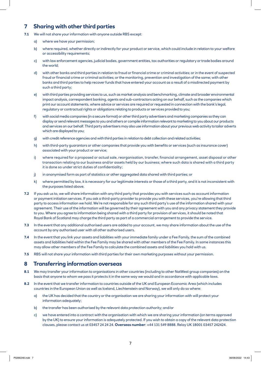### **7 Sharing with other third parties**

- **7.1** We will not share your information with anyone outside RBS except:
	- a) where we have your permission;
	- b) where required, whether directly or indirectly for your product or service, which could include in relation to your welfare or accessibility requirements;
	- c) with law enforcement agencies, judicial bodies, government entities, tax authorities or regulatory or trade bodies around the world;
	- d) with other banks and third parties in relation to fraud or financial crime or criminal activities; or in the event of suspected fraud or financial crime or criminal activities; or the monitoring, prevention and investigation of the same; with other banks and third parties to help recover funds that have entered your account as a result of a misdirected payment by such a third party;
	- e) with third parties providing services to us, such as market analysis and benchmarking, climate and broader environmental impact analysis, correspondent banking, agents and sub-contractors acting on our behalf, such as the companies which print our account statements, where advice or services are required or requested in connection with the bank's legal, regulatory or contractual rights or obligations relating to products or services provided to you;
	- f) with social media companies (in a secure format) or other third party advertisers and marketing companies so they can display or send relevant messages to you and others or compile information relevant to marketing to you about our products and services on our behalf. Third party advertisers may also use information about your previous web activity to tailor adverts which are displayed to you;
	- g) with credit reference agencies and with third parties in relation to debt collection and related activities;
	- h) with third-party guarantors or other companies that provide you with benefits or services (such as insurance cover) associated with your product or service;
	- i) where required for a proposed or actual sale, reorganisation, transfer, financial arrangement, asset disposal or other transaction relating to our business and/or assets held by our business; where such data is shared with a third party it is done so under strict duties of confidentiality;
	- j) in anonymised form as part of statistics or other aggregated data shared with third parties; or
	- k) where permitted by law, it is necessary for our legitimate interests or those of a third party, and it is not inconsistent with the purposes listed above.
- **7.2** If you ask us to, we will share information with any third party that provides you with services such as account information or payment initiation services. If you ask a third-party provider to provide you with these services, you're allowing that third party to access information we hold. We're not responsible for any such third party's use of the information shared with your agreement. Their use of the information will be governed by their agreement with you and any privacy statement they provide to you. Where you agree to information being shared with a third party for provision of services, it should be noted that Royal Bank of Scotland may charge the third party as part of a commercial arrangement to provide the service.
- **7.3** In the event that any additional authorised users are added to your account, we may share information about the use of the account by any authorised user with all other authorised users.
- **7.4** In the event that you link your assets and liabilities with your immediate family under a Fee Family, the sum of the combined assets and liabilities held within the Fee Family may be shared with other members of the Fee Family. In some instances this may allow other members of the Fee Family to calculate the combined assets and liabilities you hold with us.
- **7.5** RBS will not share your information with third parties for their own marketing purposes without your permission.

#### **8 Transferring information overseas**

- **8.1** We may transfer your information to organisations in other countries (including to other NatWest group companies) on the basis that anyone to whom we pass it protects it in the same way we would and in accordance with applicable laws.
- **8.2** In the event that we transfer information to countries outside of the UK and European Economic Area (which includes countries in the European Union as well as Iceland, Liechtenstein and Norway), we will only do so where:
	- a) the UK has decided that the country or the organisation we are sharing your information with will protect your information adequately;
	- b) the transfer has been authorised by the relevant data protection authority; and/or
	- c) we have entered into a contract with the organisation with which we are sharing your information (on terms approved by the UK) to ensure your information is adequately protected. If you wish to obtain a copy of the relevant data protection clauses, please contact us at 03457 24 24 24. **Overseas number**: +44 131 549 8888. Relay UK 18001 03457 242424.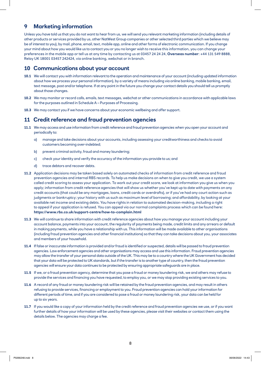### **9 Marketing information**

Unless you have told us that you do not want to hear from us, we will send you relevant marketing information (including details of other products or services provided by us, other NatWest Group companies or other selected third parties which we believe may be of interest to you), by mail, phone, email, text, mobile app, online and other forms of electronic communication. If you change your mind about how you would like us to contact you or you no longer wish to receive this information, you can change your preferences in the mobile app or tell us at any time by contacting us at 03457 24 24 24, **Overseas number**: +44 131 549 8888, Relay UK 18001 03457 242424, via online banking, webchat or in branch.

#### **10 Communications about your account**

- **10.1** We will contact you with information relevant to the operation and maintenance of your account (including updated information about how we process your personal information), by a variety of means including via online banking, mobile banking, email, text message, post and/or telephone. If at any point in the future you change your contact details you should tell us promptly about those changes.
- **10.2** We may monitor or record calls, emails, text messages, webchat or other communications in accordance with applicable laws for the purposes outlined in Schedule A – Purposes of Processing.
- **10.3** We may contact you if we have concerns about your economic wellbeing and offer support.

#### **11 Credit reference and fraud prevention agencies**

- **11.1** We may access and use information from credit reference and fraud prevention agencies when you open your account and periodically to:
	- a) manage and take decisions about your accounts, including assessing your creditworthiness and checks to avoid customers becoming over-indebted;
	- b) prevent criminal activity, fraud and money laundering;
	- c) check your identity and verify the accuracy of the information you provide to us; and
	- d) trace debtors and recover debts.
- **11.2** Application decisions may be taken based solely on automated checks of information from credit reference and fraud prevention agencies and internal RBS records. To help us make decisions on when to give you credit, we use a system called credit scoring to assess your application. To work out your credit score, we look at information you give us when you apply; information from credit reference agencies that will show us whether you've kept up to date with payments on any credit accounts (that could be any mortgages, loans, credit cards or overdrafts), or if you've had any court action such as judgments or bankruptcy; your history with us such as maximum level of borrowing; and affordability, by looking at your available net income and existing debts. You have rights in relation to automated decision-making, including a right to appeal if your application is refused. You can appeal via our normal complaints process which can be found here: **https://www.rbs.co.uk/support-centre/how-to-complain.html**
- **11.3** We will continue to share information with credit reference agencies about how you manage your account including your account balance, payments into your account, the regularity of payments being made, credit limits and any arrears or default in making payments, while you have a relationship with us. This information will be made available to other organisations (including fraud prevention agencies and other financial institutions) so that they can take decisions about you, your associates and members of your household.
- **11.4** If false or inaccurate information is provided and/or fraud is identified or suspected, details will be passed to fraud prevention agencies. Law enforcement agencies and other organisations may access and use this information. Fraud prevention agencies may allow the transfer of your personal data outside of the UK. This may be to a country where the UK Government has decided that your data will be protected to UK standards, but if the transfer is to another type of country, then the fraud prevention agencies will ensure your data continues to be protected by ensuring appropriate safeguards are in place.
- **11.5** If we, or a fraud prevention agency, determine that you pose a fraud or money laundering risk, we and others may refuse to provide the services and financing you have requested, to employ you, or we may stop providing existing services to you.
- **11.6** A record of any fraud or money laundering risk will be retained by the fraud prevention agencies, and may result in others refusing to provide services, financing or employment to you. Fraud prevention agencies can hold your information for different periods of time, and if you are considered to pose a fraud or money laundering risk, your data can be held for up to six years.
- **11.7** If you would like a copy of your information held by the credit reference and fraud prevention agencies we use, or if you want further details of how your information will be used by these agencies, please visit their websites or contact them using the details below. The agencies may charge a fee.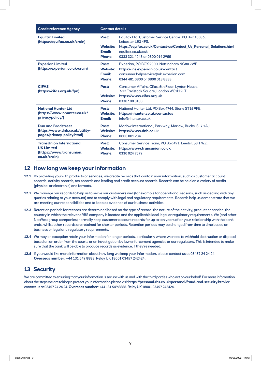| <b>Credit reference Agency</b>                                                                   | <b>Contact details</b>                                     |                                                                                                                                                                                                         |  |
|--------------------------------------------------------------------------------------------------|------------------------------------------------------------|---------------------------------------------------------------------------------------------------------------------------------------------------------------------------------------------------------|--|
| <b>Equifax Limited</b><br>(https://equifax.co.uk/crain)                                          | Post:<br><b>Website:</b><br><b>Email:</b><br><b>Phone:</b> | Equifax Ltd, Customer Service Centre, PO Box 10036,<br>Leicester LE3 4FS.<br>https://equifax.co.uk/Contact-us/Contact_Us_Personal_Solutions.html<br>equifax.co.uk/ask<br>0333 321 4043 or 0800 014 2955 |  |
| <b>Experian Limited</b><br>(https://experian.co.uk/crain)                                        | Post:<br><b>Website:</b><br><b>Email:</b><br><b>Phone:</b> | Experian, PO BOX 9000, Nottingham NG80 7WF.<br>https://ins.experian.co.uk/contact<br>consumer.helpservice@uk.experian.com<br>0344 481 0800 or 0800 013 8888                                             |  |
| <b>CIFAS</b><br>(https://cifas.org.uk/fpn)                                                       | Post:<br><b>Website:</b><br><b>Phone:</b>                  | Consumer Affairs, Cifas, 6th Floor, Lynton House,<br>7-12 Tavistock Square, London WC1H 9LT<br>https://www.cifas.org.uk<br>0330 100 0180                                                                |  |
| <b>National Hunter Ltd</b><br>(https://www.nhunter.co.uk/<br>privacypolicy/)                     | Post:<br><b>Website:</b><br><b>Email:</b>                  | National Hunter Ltd, PO Box 4744, Stone ST15 9FE.<br>https://nhunter.co.uk/contactus<br>info@nhunter.co.uk                                                                                              |  |
| <b>Dun and Bradstreet</b><br>(https://www.dnb.co.uk/utility-<br>pages/privacy-policy.html)       | Post:<br><b>Website:</b><br><b>Phone:</b>                  | Marlow International, Parkway, Marlow, Bucks. SL7 1AJ.<br>https://www.dnb.co.uk<br>0800 001 234                                                                                                         |  |
| <b>TransUnion International</b><br><b>UK Limited</b><br>(https://www.transunion.<br>co.uk/crain) | Post:<br><b>Website:</b><br><b>Phone:</b>                  | Consumer Service Team, PO Box 491, Leeds LS3 1 WZ.<br>https://www.transunion.co.uk<br>0330 024 7579                                                                                                     |  |

#### **12 How long we keep your information**

- **12.1** By providing you with products or services, we create records that contain your information, such as customer account records, activity records, tax records and lending and credit account records. Records can be held on a variety of media (physical or electronic) and formats.
- **12.2** We manage our records to help us to serve our customers well (for example for operational reasons, such as dealing with any queries relating to your account) and to comply with legal and regulatory requirements. Records help us demonstrate that we are meeting our responsibilities and to keep as evidence of our business activities.
- **12.3** Retention periods for records are determined based on the type of record, the nature of the activity, product or service, the country in which the relevant RBS company is located and the applicable local legal or regulatory requirements. We (and other NatWest group companies) normally keep customer account records for up to ten years after your relationship with the bank ends, whilst other records are retained for shorter periods. Retention periods may be changed from time to time based on business or legal and regulatory requirements.
- **12.4** We may on exception retain your information for longer periods, particularly where we need to withhold destruction or disposal based on an order from the courts or an investigation by law enforcement agencies or our regulators. This is intended to make sure that the bank will be able to produce records as evidence, if they're needed.
- **12.5** If you would like more information about how long we keep your information, please contact us at 03457 24 24 24. **Overseas number**: +44 131 549 8888. Relay UK 18001 03457 242424.

#### **13 Security**

We are committed to ensuring that your information is secure with us and with the third parties who act on our behalf. For more information about the steps we are taking to protect your information please visit **https://personal.rbs.co.uk/personal/fraud-and-security.html** or contact us at 03457 24 24 24. **Overseas number**: +44 131 549 8888. Relay UK 18001 03457 242424.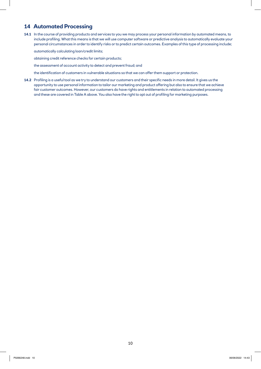#### **14 Automated Processing**

**14.1** In the course of providing products and services to you we may process your personal information by automated means, to include profiling. What this means is that we will use computer software or predictive analysis to automatically evaluate your personal circumstances in order to identify risks or to predict certain outcomes. Examples of this type of processing include;

automatically calculating loan/credit limits;

obtaining credit reference checks for certain products;

the assessment of account activity to detect and prevent fraud; and

the identification of customers in vulnerable situations so that we can offer them support or protection.

**14.2** Profiling is a useful tool as we try to understand our customers and their specific needs in more detail. It gives us the opportunity to use personal information to tailor our marketing and product offering but also to ensure that we achieve fair customer outcomes. However, our customers do have rights and entitlements in relation to automated processing and these are covered in Table A above. You also have the right to opt out of profiling for marketing purposes.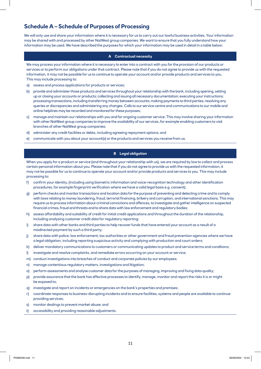## **Schedule A – Schedule of Purposes of Processing**

We will only use and share your information where it is necessary for us to carry out our lawful business activities. Your information may be shared with and processed by other NatWest group companies. We want to ensure that you fully understand how your information may be used. We have described the purposes for which your information may be used in detail in a table below:

#### **A Contractual necessity**

We may process your information where it is necessary to enter into a contract with you for the provision of our products or services or to perform our obligations under that contract. Please note that if you do not agree to provide us with the requested information, it may not be possible for us to continue to operate your account and/or provide products and services to you. This may include processing to:

- a) assess and process applications for products or services;
- b) provide and administer those products and services throughout your relationship with the bank, including opening, setting up or closing your accounts or products; collecting and issuing all necessary documentation; executing your instructions; processing transactions, including transferring money between accounts; making payments to third parties; resolving any queries or discrepancies and administering any changes. Calls to our service centre and communications to our mobile and online helplines may be recorded and monitored for these purposes;
- c) manage and maintain our relationships with you and for ongoing customer service. This may involve sharing your information with other NatWest group companies to improve the availability of our services, for example enabling customers to visit branches of other NatWest group companies;
- d) administer any credit facilities or debts, including agreeing repayment options; and
- e) communicate with you about your account(s) or the products and services you receive from us.

#### **B Legal obligation**

When you apply for a product or service (and throughout your relationship with us), we are required by law to collect and process certain personal information about you. Please note that if you do not agree to provide us with the requested information, it may not be possible for us to continue to operate your account and/or provide products and services to you. This may include processing to:

- f) confirm your identity, (including using biometric information and voice-recognition technology and other identification procedures, for example fingerprint verification where we have a valid legal basis e.g. consent);
- g) perform checks and monitor transactions and location data for the purpose of preventing and detecting crime and to comply with laws relating to money laundering, fraud, terrorist financing, bribery and corruption, and international sanctions. This may require us to process information about criminal convictions and offences, to investigate and gather intelligence on suspected financial crimes, fraud and threats and to share data with law enforcement and regulatory bodies;
- h) assess affordability and suitability of credit for initial credit applications and throughout the duration of the relationship, including analysing customer credit data for regulatory reporting;
- i) share data with other banks and third parties to help recover funds that have entered your account as a result of a misdirected payment by such a third party;
- j) share data with police, law enforcement, tax authorities or other government and fraud prevention agencies where we have a legal obligation, including reporting suspicious activity and complying with production and court orders;
- k) deliver mandatory communications to customers or communicating updates to product and service terms and conditions;
- l) investigate and resolve complaints, and remediate errors occurring on your account or service;
- m) conduct investigations into breaches of conduct and corporate policies by our employees;
- n) manage contentious regulatory matters, investigations and litigation;
- o) perform assessments and analyse customer data for the purposes of managing, improving and fixing data quality;
- p) provide assurance that the bank has effective processes to identify, manage, monitor and report the risks it is or might be exposed to;
- q) investigate and report on incidents or emergencies on the bank's properties and premises;
- r) coordinate responses to business-disrupting incidents and to ensure facilities, systems and people are available to continue providing services;
- s) monitor dealings to prevent market abuse; and
- t) accessibility and providing reasonable adjustments.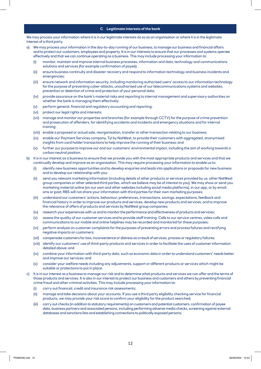#### **C Legitimate interests of the bank**

We may process your information where it is in our legitimate interests do so as an organisation or where it is in the legitimate interest of a third party.

- a) We may process your information in the day-to-day running of our business, to manage our business and financial affairs and to protect our customers, employees and property. It is in our interests to ensure that our processes and systems operate effectively and that we can continue operating as a business. This may include processing your information to:
	- (i) monitor, maintain and improve internal business processes, information and data, technology and communications solutions and services (for example confirmation of payee);
	- (ii) ensure business continuity and disaster recovery and respond to information technology and business incidents and emergencies;
	- (iii) ensure network and information security, including monitoring authorised users' access to our information technology for the purpose of preventing cyber-attacks, unauthorised use of our telecommunications systems and websites, prevention or detection of crime and protection of your personal data;
	- (iv) provide assurance on the bank's material risks and reporting to internal management and supervisory authorities on whether the bank is managing them effectively;
	- (v) perform general, financial and regulatory accounting and reporting;
	- (vi) protect our legal rights and interests;
	- (vii) manage and monitor our properties and branches (for example through CCTV) for the purpose of crime prevention and prosecution of offenders, for identifying accidents and incidents and emergency situations and for internal training;
	- (viii) enable a proposed or actual sale, reorganisation, transfer or other transaction relating to our business;
	- (ix) enable our Payment Services company, Tyl by NatWest, to provide their customers with aggregated, anonymised insights from card holder transactions to help improve the running of their business; and
	- (x) further our purpose to improve our and our customers' environmental impact, including the aim of working towards a carbon neutral position.
- b) It is in our interest as a business to ensure that we provide you with the most appropriate products and services and that we continually develop and improve as an organisation. This may require processing your information to enable us to:
	- (i) identify new business opportunities and to develop enquiries and leads into applications or proposals for new business and to develop our relationship with you;
	- (ii) send you relevant marketing information (including details of other products or services provided by us, other NatWest group companies or other selected third parties, which we believe may be of interest to you). We may show or send you marketing material online (on our own and other websites including social media platforms), in our app, or by email, sms or post; RBS will not share your information with third parties for their own marketing purposes;
	- (iii) understand our customers' actions, behaviour, preferences, transactions, savings, expectations, feedback and financial history in order to improve our products and services, develop new products and services, and to improve the relevance of offers of products and services by NatWest group companies;
	- (iv) research your experiences with us and to monitor the performance and effectiveness of products and services;
	- (v) assess the quality of our customer services and to provide staff training. Calls to our service centres, video calls and communications to our mobile and online helplines may be recorded and monitored for these purposes;
	- (vi) perform analysis on customer complaints for the purposes of preventing errors and process failures and rectifying negative impacts on customers;
	- (vii) compensate customers for loss, inconvenience or distress as a result of services, process or regulatory failures;
	- (viii) identify our customers' use of third-party products and services in order to facilitate the uses of customer information detailed above; and
	- (ix) combine your information with third-party data, such as economic data in order to understand customers' needs better and improve our services; and
	- (x) consider your welfare needs including any adjustments, support or different products or services which might be suitable or protections to put in place.
- It is in our interest as a business to manage our risk and to determine what products and services we can offer and the terms of those products and services. It is also in our interest to protect our business and customers and others by preventing financial crime fraud and other criminal activities. This may include processing your information to:
	- (i) carry out financial, credit and insurance risk assessments;
	- (ii) manage and take decisions about your accounts. If you use a third party eligibility checking service for financial products, we may provide your risk score to confirm your eligibility for the product searched;
	- (iii) carry out checks (in addition to statutory requirements) on customers and potential customers, confirmation of payee data, business partners and associated persons, including performing adverse media checks, screening against external databases and sanctions lists and establishing connections to politically exposed persons;